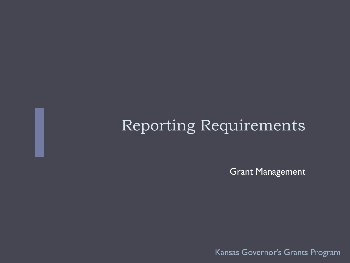## Reporting Requirements

Grant Management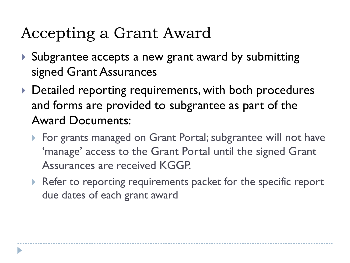## Accepting a Grant Award

- ▶ Subgrantee accepts a new grant award by submitting signed Grant Assurances
- ▶ Detailed reporting requirements, with both procedures and forms are provided to subgrantee as part of the Award Documents:
	- ▶ For grants managed on Grant Portal; subgrantee will not have 'manage' access to the Grant Portal until the signed Grant Assurances are received KGGP.
	- Refer to reporting requirements packet for the specific report due dates of each grant award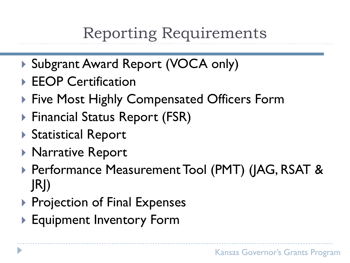# Reporting Requirements

- ▶ Subgrant Award Report (VOCA only)
- ▶ EEOP Certification
- ▶ Five Most Highly Compensated Officers Form
- ▶ Financial Status Report (FSR)
- ▶ Statistical Report
- ▶ Narrative Report
- ▶ Performance Measurement Tool (PMT) (JAG, RSAT & JRJ)
- ▶ Projection of Final Expenses
- ▶ Equipment Inventory Form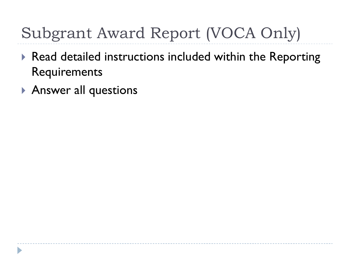# Subgrant Award Report (VOCA Only)

- ▶ Read detailed instructions included within the Reporting Requirements
- ▶ Answer all questions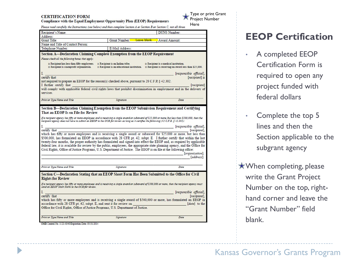#### **CERTIFICATION FORM**



Here

Compliance with the Equal Employment Opportunity Plan (EEOP) Requirements

Please read carefully the Instructions (see below) and then complete Section A or Section B or Section C, not all three.

| Recipient's Name:                                                                                                                                                                                                                                                                                                                                                                                                                                                                                                                                                                                                                                                                                                                                                                                                                                                                                                                         |                                                                               | <b>DUNS Number:</b>                   |                                                                         |
|-------------------------------------------------------------------------------------------------------------------------------------------------------------------------------------------------------------------------------------------------------------------------------------------------------------------------------------------------------------------------------------------------------------------------------------------------------------------------------------------------------------------------------------------------------------------------------------------------------------------------------------------------------------------------------------------------------------------------------------------------------------------------------------------------------------------------------------------------------------------------------------------------------------------------------------------|-------------------------------------------------------------------------------|---------------------------------------|-------------------------------------------------------------------------|
| Address:                                                                                                                                                                                                                                                                                                                                                                                                                                                                                                                                                                                                                                                                                                                                                                                                                                                                                                                                  |                                                                               |                                       |                                                                         |
| Grant Title:                                                                                                                                                                                                                                                                                                                                                                                                                                                                                                                                                                                                                                                                                                                                                                                                                                                                                                                              | Grant Number:                                                                 | Leave blank<br>Award Amount:          |                                                                         |
| Name and Title of Contact Person:                                                                                                                                                                                                                                                                                                                                                                                                                                                                                                                                                                                                                                                                                                                                                                                                                                                                                                         |                                                                               |                                       |                                                                         |
| Telephone Number:                                                                                                                                                                                                                                                                                                                                                                                                                                                                                                                                                                                                                                                                                                                                                                                                                                                                                                                         | E-Mail Address:                                                               |                                       |                                                                         |
| Section A-Declaration Claiming Complete Exemption from the EEOP Requirement                                                                                                                                                                                                                                                                                                                                                                                                                                                                                                                                                                                                                                                                                                                                                                                                                                                               |                                                                               |                                       |                                                                         |
| Please check all the following boxes that apply:                                                                                                                                                                                                                                                                                                                                                                                                                                                                                                                                                                                                                                                                                                                                                                                                                                                                                          |                                                                               |                                       |                                                                         |
| D Recipient has less than fifty employees.<br>C Recipient is a nonprofit organization.                                                                                                                                                                                                                                                                                                                                                                                                                                                                                                                                                                                                                                                                                                                                                                                                                                                    | n Recipient is an Indian tribe.<br>C Recipient is an educational institution. | D Recipient is a medical institution. | C Recipient is receiving an award less than \$25,000.                   |
| I.                                                                                                                                                                                                                                                                                                                                                                                                                                                                                                                                                                                                                                                                                                                                                                                                                                                                                                                                        |                                                                               |                                       | [responsible official]                                                  |
| certify that                                                                                                                                                                                                                                                                                                                                                                                                                                                                                                                                                                                                                                                                                                                                                                                                                                                                                                                              |                                                                               |                                       | [recipient] is                                                          |
| not required to prepare an EEOP for the reason(s) checked above, pursuant to 28 C.F.R $\S$ 42.302.<br>I further certify that                                                                                                                                                                                                                                                                                                                                                                                                                                                                                                                                                                                                                                                                                                                                                                                                              |                                                                               |                                       | <i>recipient</i>                                                        |
| will comply with applicable federal civil rights laws that prohibit discrimination in employment and in the delivery o<br>services.                                                                                                                                                                                                                                                                                                                                                                                                                                                                                                                                                                                                                                                                                                                                                                                                       |                                                                               |                                       |                                                                         |
| Print or Type Name and Title                                                                                                                                                                                                                                                                                                                                                                                                                                                                                                                                                                                                                                                                                                                                                                                                                                                                                                              | Signature                                                                     |                                       | Date                                                                    |
|                                                                                                                                                                                                                                                                                                                                                                                                                                                                                                                                                                                                                                                                                                                                                                                                                                                                                                                                           |                                                                               |                                       |                                                                         |
| If a recipient agency has fifty or more employees and is receiving a single award or subaward of \$25,000 or more, but less than \$500,000, then the<br>recipient agency does not have to submit an EEOP to the OCR for review as long as it certifies the following (42 C.F.R. § 42.305):<br>L<br>certify that<br>which has fifty or more employees and is receiving a single award or subaward for \$25,000 or more, but less that<br>\$500,000, has formulated an EEOP in accordance with 28 CFR pt. 42, subpt. E. I further certify that within the las<br>twenty-four months, the proper authority has formulated and signed into effect the EEOP and, as required by applicable<br>federal law, it is available for review by the public, employees, the appropriate state planning agency, and the Office fo<br>Civil Rights, Office of Justice Programs, U.S. Department of Justice. The EEOP is on file at the following office: |                                                                               |                                       | [responsible official]<br>recipient<br>[organization].<br>$[address]$ . |
| Print or Type Name and Title                                                                                                                                                                                                                                                                                                                                                                                                                                                                                                                                                                                                                                                                                                                                                                                                                                                                                                              | Signature                                                                     |                                       | Date                                                                    |
| Section C-Declaration Stating that an EEOP Short Form Has Been Submitted to the Office for Civil<br><b>Rights for Review</b><br>If a recipient agency has fifty or more employees and is receiving a single award or subaward of \$500,000 or more, then the recipient agency must<br>send an EEOP Short Form to the OCR for review.<br>L<br>certify that<br>which has fifty or more employees and is receiving a single award of \$500,000 or more, has formulated an EEOP ii<br>accordance with 28 CFR pt. 42, subpt. E, and sent it for review on<br>Office for Civil Rights, Office of Justice Programs, U.S. Department of Justice.                                                                                                                                                                                                                                                                                                  |                                                                               |                                       | [responsible official]<br>[recipient]<br>[date] to the                  |
| Print or Type Name and Title                                                                                                                                                                                                                                                                                                                                                                                                                                                                                                                                                                                                                                                                                                                                                                                                                                                                                                              | Signature                                                                     |                                       | Date                                                                    |

OMB Control No. 1121-0340 Expiration Date: 05/31/2014

### **EEOP Certification**

- A completed EEOP Certification Form is required to open any project funded with federal dollars
- Complete the top 5 lines and then the Section applicable to the subgrant agency
- **★When completing, please** write the Grant Project Number on the top, righthand corner and leave the "Grant Number" field blank.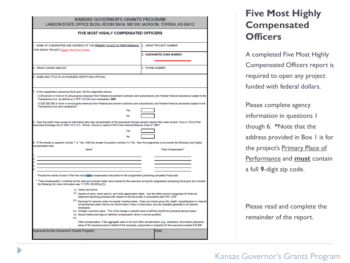| KANSAS GOVERNOR'S GRANTS PROGRAM<br>LANDON STATE OFFICE BLDG, ROOM 304 N, 900 SW JACKSON, TOPEKA, KS 66612                                                                                                                                                                                                                                                                                                                                                                                                                                                                                                                                                                                                                                                                                                                                                                                                                                                                                                                                                    |                                                             |  |
|---------------------------------------------------------------------------------------------------------------------------------------------------------------------------------------------------------------------------------------------------------------------------------------------------------------------------------------------------------------------------------------------------------------------------------------------------------------------------------------------------------------------------------------------------------------------------------------------------------------------------------------------------------------------------------------------------------------------------------------------------------------------------------------------------------------------------------------------------------------------------------------------------------------------------------------------------------------------------------------------------------------------------------------------------------------|-------------------------------------------------------------|--|
| <b>FIVE MOST HIGHLY COMPENSATED OFFICERS</b>                                                                                                                                                                                                                                                                                                                                                                                                                                                                                                                                                                                                                                                                                                                                                                                                                                                                                                                                                                                                                  |                                                             |  |
| 1. NAME OF SUBGRANTEE AND ADDRESS OF THE PRIMARY PLACE OF PERFORMANCE<br>FOR GRANT PROJECT (must include Zip+4 data)                                                                                                                                                                                                                                                                                                                                                                                                                                                                                                                                                                                                                                                                                                                                                                                                                                                                                                                                          | 2. GRANT PROJECT NUMBER<br><b>3. SUBGRANTEE DUNS NUMBER</b> |  |
| 4. GRANT AWARD AMOUNT                                                                                                                                                                                                                                                                                                                                                                                                                                                                                                                                                                                                                                                                                                                                                                                                                                                                                                                                                                                                                                         | 5. PHONE NUMBER                                             |  |
| 6. NAME AND TITLE OF AUTHORIZED CERTIFYING OFFICIAL                                                                                                                                                                                                                                                                                                                                                                                                                                                                                                                                                                                                                                                                                                                                                                                                                                                                                                                                                                                                           |                                                             |  |
| 7. In the subgrantee's preceding fiscal year, did the subgrantee receive<br>(i) 80 percent or more of its annual gross revenues from Federal procurement contracts (and subcontracts) and Federal financial assistance subject to the<br>Transparency Act, as defined at 2 CFR 170.320 (and subawards); AND<br>(ii) \$25,000,000 or more in annual gross revenues from Federal procurement contracts (and subcontracts) and Federal financial assistance subject to the<br>Transparency Act (and subawards)?<br>Yes<br>No<br>8. Does the public have access to information about the compensation of the executives through periodic reports filed under section 13(a) or 15(d) of the                                                                                                                                                                                                                                                                                                                                                                        |                                                             |  |
| Securities Exchange Act of 1934 (15 U.S.C. 78m(a), 78o(d)) or section 6104 of the Internal Revenue Code of 1986?<br>Yes<br>No<br>9. IF the answer to question number 7 is "Yes" AND the answer to question number 8 is "No," then the subgrantee must provide the following most highly                                                                                                                                                                                                                                                                                                                                                                                                                                                                                                                                                                                                                                                                                                                                                                       |                                                             |  |
| compensated data:<br><b>Name</b>                                                                                                                                                                                                                                                                                                                                                                                                                                                                                                                                                                                                                                                                                                                                                                                                                                                                                                                                                                                                                              | Total Compensation <sup>2</sup>                             |  |
| <sup>1</sup> Provide the names of each of the five most highly compensated executives for the subgrantee's preceding completed fiscal year.<br><sup>2</sup> "Total compensation" is defined as the cash and noncash dollar value earned by the executive during the subgrantee's preceding fiscal year and includes                                                                                                                                                                                                                                                                                                                                                                                                                                                                                                                                                                                                                                                                                                                                           |                                                             |  |
| the following (for more information see 17 CFR 229.402(c)(2)):<br>(i). Salary and bonus.<br>(ii). Awards of stock, stock options, and stock appreciation rights. Use the dollar amount recognized for financial<br>statement reporting purposes with respect to the fiscal year in accordance with FAS 123R.<br><sup>(III).</sup> Earnings for services under non-equity incentive plans. Does not include group life, health, hospitalization or medical<br>reimbursement plans that do not discriminate in favor of executives, and are available generally to all salaried<br>employees.<br>(iv). Change in pension value. This is the change in present value of defined benefit and actuarial pension plans.<br>(v). Above-market earnings on deferred compensation which is not tax-qualified.<br>$(vi)$ .<br>Other compensation, if the aggregate value of all such other compensation (e.g., severance, termination payments,<br>value of life insurance paid on behalf of the employee, perquisites or property) for the executive exceeds \$10,000. |                                                             |  |
| Approved by the Governor's Grants Program:                                                                                                                                                                                                                                                                                                                                                                                                                                                                                                                                                                                                                                                                                                                                                                                                                                                                                                                                                                                                                    | Date:                                                       |  |

D

### **Five Most Highly Compensated Officers**

A completed Five Most Highly Compensated Officers report is required to open any project funded with federal dollars.

Please complete agency information in questions 1 though 6. **\***Note that the address provided in Box 1 is for the project's Primary Place of Performance and **must** contain a full **9**-digit zip code.

Please read and complete the remainder of the report.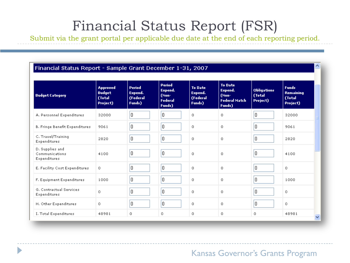## Financial Status Report (FSR)

Submit via the grant portal per applicable due date at the end of each reporting period.

| <b>Budget Category</b>                                   | <b>Approved</b><br><b>Budget</b><br>(Total<br>Project) | <b>Period</b><br>Expend.<br>(Federal<br>Funds) | <b>Period</b><br>Expend.<br>(Non-<br><b>Federal</b><br>Funds) | <b>To Date</b><br>Expend.<br>(Federal<br>Funds) | <b>To Date</b><br>Expend.<br>(Non-<br><b>Federal Match</b><br>Funds) | <b>Obligations</b><br>(Total<br>Project) | <b>Funds</b><br><b>Remaining</b><br>(Total<br>Project) |
|----------------------------------------------------------|--------------------------------------------------------|------------------------------------------------|---------------------------------------------------------------|-------------------------------------------------|----------------------------------------------------------------------|------------------------------------------|--------------------------------------------------------|
| A. Personnel Expenditures                                | 32000                                                  | 0                                              | 0                                                             | 0                                               | 0                                                                    | 10                                       | 32000                                                  |
| <b>B. Fringe Benefit Expenditures</b>                    | 9061                                                   | 0                                              | 0                                                             | 0                                               | 0                                                                    | I٥                                       | 9061                                                   |
| C. Travel/Training<br><b>Expenditures</b>                | 2820                                                   | 0                                              | 0                                                             | 0                                               | 0                                                                    | 10                                       | 2820                                                   |
| D. Supplies and<br>Communications<br><b>Expenditures</b> | 4100                                                   | 0                                              | 0                                                             | 0                                               | 0                                                                    | n                                        | 4100                                                   |
| E. Facility Cost Expenditures                            | 0                                                      | 0                                              | 0                                                             | 0                                               | 0                                                                    | lo.                                      | 0                                                      |
| F. Equipment Expenditures                                | 1000                                                   | 0                                              | 0                                                             | 0                                               | 0                                                                    | 10.                                      | 1000                                                   |
| G. Contractual Services<br><b>Expenditures</b>           | 0                                                      | 0                                              | 0                                                             | 0                                               | 0                                                                    | 10.                                      | 0                                                      |
| H. Other Expenditures                                    | 0                                                      | $\overline{0}$                                 | 0                                                             | 0                                               | 0                                                                    | 10                                       | 0                                                      |
| I. Total Expenditures                                    | 48981                                                  | 0                                              | 0                                                             | 0                                               | 0                                                                    | 0                                        | 48981                                                  |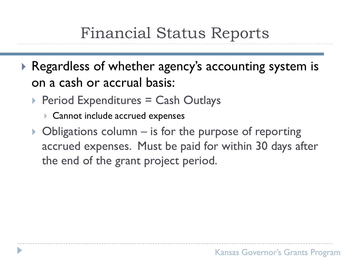## Financial Status Reports

- ▶ Regardless of whether agency's accounting system is on a cash or accrual basis:
	- $\triangleright$  Period Expenditures = Cash Outlays
		- **Cannot include accrued expenses**
	- ▶ Obligations column is for the purpose of reporting accrued expenses. Must be paid for within 30 days after the end of the grant project period.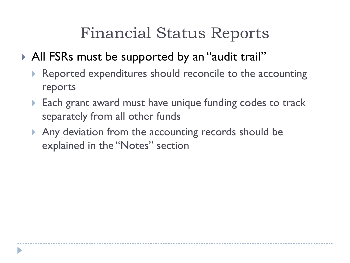## Financial Status Reports

### ▶ All FSRs must be supported by an "audit trail"

- Reported expenditures should reconcile to the accounting reports
- **Each grant award must have unique funding codes to track** separately from all other funds
- Any deviation from the accounting records should be explained in the "Notes" section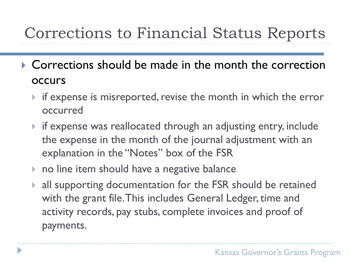# Corrections to Financial Status Reports

- ▶ Corrections should be made in the month the correction occurs
	- $\blacktriangleright$  if expense is misreported, revise the month in which the error occurred
	- $\triangleright$  if expense was reallocated through an adjusting entry, include the expense in the month of the journal adjustment with an explanation in the "Notes" box of the FSR
	- $\triangleright$  no line item should have a negative balance
	- all supporting documentation for the FSR should be retained with the grant file. This includes General Ledger, time and activity records, pay stubs, complete invoices and proof of payments.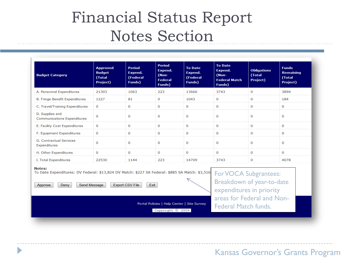# Financial Status Report Notes Section

| <b>Budget Category</b>                                | <b>Approved</b><br><b>Budget</b><br>(Total<br>Project) | <b>Period</b><br>Expend.<br>(Federal<br>Funds) | <b>Period</b><br>Expend.<br>(Non-<br><b>Federal</b><br>Funds) | <b>To Date</b><br>Expend.<br>(Federal<br>Funds) | <b>To Date</b><br>Expend.<br>$(Non-$<br><b>Federal Match</b><br>Funds) | <b>Obligations</b><br>(Total<br><b>Project</b> ) | <b>Funds</b><br><b>Remaining</b><br>(Total<br>Project) |
|-------------------------------------------------------|--------------------------------------------------------|------------------------------------------------|---------------------------------------------------------------|-------------------------------------------------|------------------------------------------------------------------------|--------------------------------------------------|--------------------------------------------------------|
| A. Personnel Expenditures                             | 21303                                                  | 1063                                           | 223                                                           | 13666                                           | 3743                                                                   | $\mathbf 0$                                      | 3894                                                   |
| <b>B. Fringe Benefit Expenditures</b>                 | 1227                                                   | 81                                             | $\mathbf 0$                                                   | 1043                                            | 0                                                                      | 0                                                | 184                                                    |
| C. Travel/Training Expenditures                       | 0                                                      | 0                                              | $\bf{0}$                                                      | $\mathbf{O}$                                    | 0                                                                      | 0                                                | 0                                                      |
| D. Supplies and<br><b>Communications Expenditures</b> | 0                                                      | $\mathbf 0$                                    | $\bf{0}$                                                      | $\mathbf 0$                                     | $\mathbf 0$                                                            | 0                                                | 0                                                      |
| E. Facility Cost Expenditures                         | 0                                                      | $\mathbf 0$                                    | $\mathbf 0$                                                   | $\mathbf 0$                                     | $\mathbf 0$                                                            | 0                                                | 0                                                      |
| F. Equipment Expenditures                             | 0                                                      | 0                                              | $\bf{0}$                                                      | 0                                               | $\mathbf 0$                                                            | 0                                                | 0                                                      |
| <b>G. Contractual Services</b><br><b>Expenditures</b> | 0                                                      | $\mathbf 0$                                    | $\mathbf 0$                                                   | 0                                               | 0                                                                      | 0                                                | 0                                                      |
| H. Other Expenditures                                 | 0                                                      | $\mathbf 0$                                    | $\mathbf 0$                                                   | $\mathbf{O}$                                    | $\mathbf 0$                                                            | 0                                                | 0                                                      |
| I. Total Expenditures                                 | 22530                                                  | 1144                                           | 223                                                           | 14709                                           | 3743                                                                   | 0                                                | 4078                                                   |

To Date Expenditures: DV Federal: \$13,824 DV Match: \$227 SA Federal: \$885 SA Match: \$3,516

Approve

Deny

**Send Message Export CSV File** 

Portal Policies | Help Center | Site Survey

Exit

Copyright © 2009

For VOCA Subgrantees: Breakdown of year-to-date expenditures in priority areas for Federal and Non-Federal Match funds.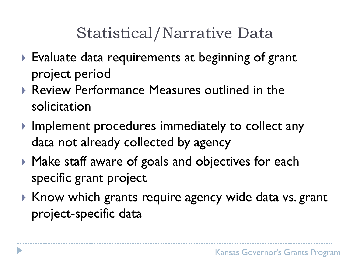- ▶ Evaluate data requirements at beginning of grant project period
- ▶ Review Performance Measures outlined in the solicitation
- ▶ Implement procedures immediately to collect any data not already collected by agency
- ▶ Make staff aware of goals and objectives for each specific grant project
- ▶ Know which grants require agency wide data vs. grant project-specific data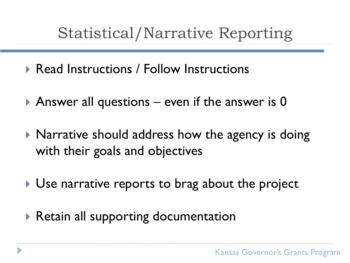Statistical/Narrative Reporting

- ▶ Read Instructions / Follow Instructions
- Answer all questions even if the answer is 0
- $\triangleright$  Narrative should address how the agency is doing with their goals and objectives
- Use narrative reports to brag about the project
- ▶ Retain all supporting documentation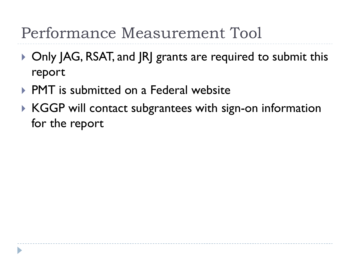## Performance Measurement Tool

- ▶ Only JAG, RSAT, and JRJ grants are required to submit this report
- ▶ PMT is submitted on a Federal website
- ▶ KGGP will contact subgrantees with sign-on information for the report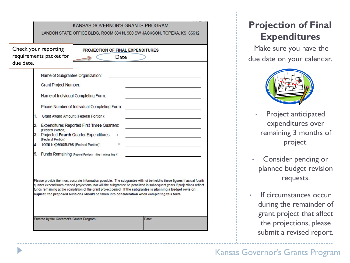| due date.            | Check your reporting<br><b>PROJECTION OF FINAL EXPENDITURES</b><br>requirements packet for<br>Date                                                                                                                                                                                                                                                                                                                                                                      |
|----------------------|-------------------------------------------------------------------------------------------------------------------------------------------------------------------------------------------------------------------------------------------------------------------------------------------------------------------------------------------------------------------------------------------------------------------------------------------------------------------------|
|                      | Name of Subgrantee Organization:<br><b>Grant Project Number:</b>                                                                                                                                                                                                                                                                                                                                                                                                        |
|                      | Name of Individual Completing Form:                                                                                                                                                                                                                                                                                                                                                                                                                                     |
| 1.                   | Phone Number of Individual Completing Form:<br>Grant Award Amount (Federal Portion):                                                                                                                                                                                                                                                                                                                                                                                    |
| 2.<br>$\overline{4}$ | <b>Expenditures Reported First Three Quarters:</b><br>(Federal Portion)<br>3. Projected Fourth Quarter Expenditures:<br>(Federal Portion)<br>Total Expenditures (Federal Portion):                                                                                                                                                                                                                                                                                      |
| 5.                   | Funds Remaining (Federal Portion): (line 1 minus line 4)                                                                                                                                                                                                                                                                                                                                                                                                                |
|                      | Please provide the most accurate information possible. The subgrantee will not be held to these figures if actual fourth<br>quarter expenditures exceed projections, nor will the subgrantee be penalized in subsequent years if projections reflect<br>funds remaining at the completion of the grant project period. If the subgrantee is planning a budget revision<br>request, the proposed revisions should be taken into consideration when completing this form. |

### **Projection of Final Expenditures**

Make sure you have the due date on your calendar.



- Project anticipated expenditures over remaining 3 months of project.
- Consider pending or planned budget revision requests.
- If circumstances occur during the remainder of grant project that affect the projections, please submit a revised report.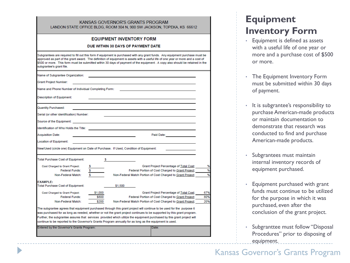#### KANSAS GOVERNOR'S GRANTS PROGRAM LANDON STATE OFFICE BLDG, ROOM 304 N, 900 SW JACKSON, TOPEKA, KS 66612

#### **EQUIPMENT INVENTORY FORM**

#### DUE WITHIN 30 DAYS OF PAYMENT DATE

| subgrantee's grant file.                                                              | Subgrantees are required to fill out this form if equipment is purchased with any grant funds. Any equipment purchase must be<br>approved as part of the grant award. The definition of equipment is assets with a useful life of one year or more and a cost of<br>\$500 or more. This form must be submitted within 30 days of payment of the equipment . A copy also should be retained in the                                                                                     |     |
|---------------------------------------------------------------------------------------|---------------------------------------------------------------------------------------------------------------------------------------------------------------------------------------------------------------------------------------------------------------------------------------------------------------------------------------------------------------------------------------------------------------------------------------------------------------------------------------|-----|
| Name of Subgrantee Organization:                                                      |                                                                                                                                                                                                                                                                                                                                                                                                                                                                                       |     |
| <b>Grant Project Number:</b>                                                          |                                                                                                                                                                                                                                                                                                                                                                                                                                                                                       |     |
| Name and Phone Number of Individual Completing Form:                                  |                                                                                                                                                                                                                                                                                                                                                                                                                                                                                       |     |
| Description of Equipment:                                                             |                                                                                                                                                                                                                                                                                                                                                                                                                                                                                       |     |
| <b>Quantity Purchased:</b>                                                            |                                                                                                                                                                                                                                                                                                                                                                                                                                                                                       |     |
| Serial (or other identification) Number:                                              |                                                                                                                                                                                                                                                                                                                                                                                                                                                                                       |     |
| Source of the Equipment:                                                              | <u> 1989 - Johann Stein, fransk politiker (d. 1989)</u>                                                                                                                                                                                                                                                                                                                                                                                                                               |     |
| Identification of Who Holds the Title:                                                |                                                                                                                                                                                                                                                                                                                                                                                                                                                                                       |     |
| <b>Acquisition Date:</b>                                                              | Paid Date: <u>___________________</u>                                                                                                                                                                                                                                                                                                                                                                                                                                                 |     |
| Location of Equipment:                                                                |                                                                                                                                                                                                                                                                                                                                                                                                                                                                                       |     |
| New/Used (circle one) Equipment on Date of Purchase. If Used, Condition of Equipment: |                                                                                                                                                                                                                                                                                                                                                                                                                                                                                       |     |
| <b>Total Purchase Cost of Equipment:</b>                                              | s                                                                                                                                                                                                                                                                                                                                                                                                                                                                                     |     |
| Cost Charged to Grant Project:                                                        | Grant Project Percentage of Total Cost:                                                                                                                                                                                                                                                                                                                                                                                                                                               | %   |
| $\overline{\mathbb{S}}$<br><b>Federal Funds:</b>                                      | Federal Portion of Cost Charged to Grant Project:                                                                                                                                                                                                                                                                                                                                                                                                                                     | %   |
| Non-Federal Match:                                                                    | Non-Federal Match Portion of Cost Charged to Grant Project:                                                                                                                                                                                                                                                                                                                                                                                                                           | %   |
| <b>FXAMPIF:</b><br>Total Purchase Cost of Equipment:                                  | \$1,500                                                                                                                                                                                                                                                                                                                                                                                                                                                                               |     |
| Cost Charged to Grant Project:<br>\$1,000                                             | Grant Project Percentage of Total Cost:                                                                                                                                                                                                                                                                                                                                                                                                                                               | 67% |
| Federal Funds:<br>\$800                                                               | Federal Portion of Cost Charged to Grant Project:                                                                                                                                                                                                                                                                                                                                                                                                                                     | 80% |
| Non-Federal Match:<br>\$200                                                           | Non-Federal Match Portion of Cost Charged to Grant Project:                                                                                                                                                                                                                                                                                                                                                                                                                           | 20% |
|                                                                                       | The subgrantee agrees that equipment purchased through this grant project will continue to be used for the purpose it<br>was purchased for as long as needed, whether or not the grant project continues to be supported by this grant program.<br>Further, the subgrantee assures that services provided which utilize the equipment purchased by this grant project will<br>continue to be reported to the Governor's Grants Program annually for as long as the equipment is used. |     |
| Entered by the Governor's Grants Program:                                             | Date:                                                                                                                                                                                                                                                                                                                                                                                                                                                                                 |     |

### **Equipment Inventory Form**

- Equipment is defined as assets with a useful life of one year or more and a purchase cost of \$500 or more.
- The Equipment Inventory Form must be submitted within 30 days of payment.
- It is subgrantee's responsibility to purchase American-made products or maintain documentation to demonstrate that research was conducted to find and purchase American-made products.
- Subgrantees must maintain internal inventory records of equipment purchased.
- Equipment purchased with grant funds must continue to be utilized for the purpose in which it was purchased, even after the conclusion of the grant project.
- Subgranttee must follow "Disposal Procedures" prior to disposing of equipment.